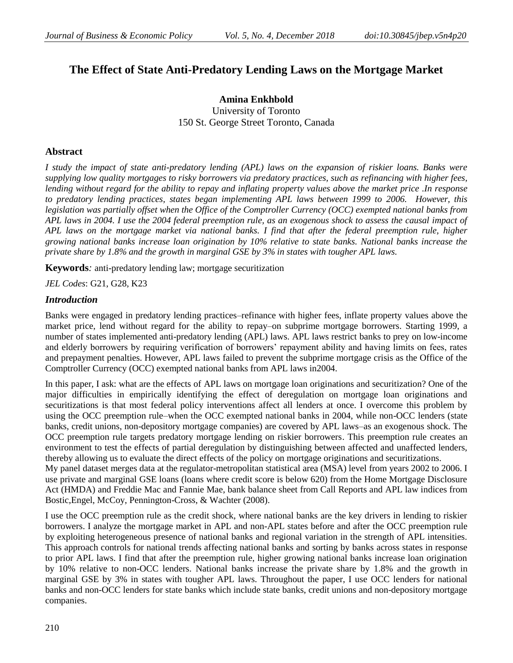# **The Effect of State Anti-Predatory Lending Laws on the Mortgage Market**

**Amina Enkhbold** University of Toronto 150 St. George Street Toronto, Canada

# **Abstract**

*I study the impact of state anti-predatory lending (APL) laws on the expansion of riskier loans. Banks were supplying low quality mortgages to risky borrowers via predatory practices, such as refinancing with higher fees, lending without regard for the ability to repay and inflating property values above the market price .In response to predatory lending practices, states began implementing APL laws between 1999 to 2006. However, this legislation was partially offset when the Office of the Comptroller Currency (OCC) exempted national banks from APL laws in 2004. I use the 2004 federal preemption rule, as an exogenous shock to assess the causal impact of APL laws on the mortgage market via national banks. I find that after the federal preemption rule, higher growing national banks increase loan origination by 10% relative to state banks. National banks increase the private share by 1.8% and the growth in marginal GSE by 3% in states with tougher APL laws.*

**Keywords***:* anti-predatory lending law; mortgage securitization

*JEL Codes*: G21, G28, K23

# *Introduction*

Banks were engaged in predatory lending practices–refinance with higher fees, inflate property values above the market price, lend without regard for the ability to repay–on subprime mortgage borrowers. Starting 1999, a number of states implemented anti-predatory lending (APL) laws. APL laws restrict banks to prey on low-income and elderly borrowers by requiring verification of borrowers' repayment ability and having limits on fees, rates and prepayment penalties. However, APL laws failed to prevent the subprime mortgage crisis as the Office of the Comptroller Currency (OCC) exempted national banks from APL laws in2004.

In this paper, I ask: what are the effects of APL laws on mortgage loan originations and securitization? One of the major difficulties in empirically identifying the effect of deregulation on mortgage loan originations and securitizations is that most federal policy interventions affect all lenders at once. I overcome this problem by using the OCC preemption rule–when the OCC exempted national banks in 2004, while non-OCC lenders (state banks, credit unions, non-depository mortgage companies) are covered by APL laws–as an exogenous shock. The OCC preemption rule targets predatory mortgage lending on riskier borrowers. This preemption rule creates an environment to test the effects of partial deregulation by distinguishing between affected and unaffected lenders, thereby allowing us to evaluate the direct effects of the policy on mortgage originations and securitizations.

My panel dataset merges data at the regulator-metropolitan statistical area (MSA) level from years 2002 to 2006. I use private and marginal GSE loans (loans where credit score is below 620) from the Home Mortgage Disclosure Act (HMDA) and Freddie Mac and Fannie Mae, bank balance sheet from Call Reports and APL law indices from Bostic,Engel, McCoy, Pennington-Cross, & Wachter (2008).

I use the OCC preemption rule as the credit shock, where national banks are the key drivers in lending to riskier borrowers. I analyze the mortgage market in APL and non-APL states before and after the OCC preemption rule by exploiting heterogeneous presence of national banks and regional variation in the strength of APL intensities. This approach controls for national trends affecting national banks and sorting by banks across states in response to prior APL laws. I find that after the preemption rule, higher growing national banks increase loan origination by 10% relative to non-OCC lenders. National banks increase the private share by 1.8% and the growth in marginal GSE by 3% in states with tougher APL laws. Throughout the paper, I use OCC lenders for national banks and non-OCC lenders for state banks which include state banks, credit unions and non-depository mortgage companies.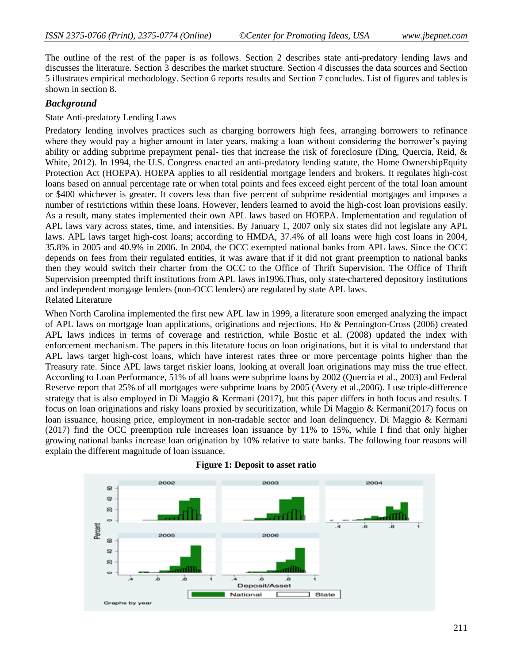The outline of the rest of the paper is as follows. Section 2 describes state anti-predatory lending laws and discusses the literature. Section 3 describes the market structure. Section 4 discusses the data sources and Section 5 illustrates empirical methodology. Section 6 reports results and Section 7 concludes. List of figures and tables is shown in section 8.

# *Background*

## State Anti-predatory Lending Laws

Predatory lending involves practices such as charging borrowers high fees, arranging borrowers to refinance where they would pay a higher amount in later years, making a loan without considering the borrower's paying ability or adding subprime prepayment penal- ties that increase the risk of foreclosure (Ding, Quercia, Reid, & White, 2012). In 1994, the U.S. Congress enacted an anti-predatory lending statute, the Home OwnershipEquity Protection Act (HOEPA). HOEPA applies to all residential mortgage lenders and brokers. It regulates high-cost loans based on annual percentage rate or when total points and fees exceed eight percent of the total loan amount or \$400 whichever is greater. It covers less than five percent of subprime residential mortgages and imposes a number of restrictions within these loans. However, lenders learned to avoid the high-cost loan provisions easily. As a result, many states implemented their own APL laws based on HOEPA. Implementation and regulation of APL laws vary across states, time, and intensities. By January 1, 2007 only six states did not legislate any APL laws. APL laws target high-cost loans; according to HMDA, 37.4% of all loans were high cost loans in 2004, 35.8% in 2005 and 40.9% in 2006. In 2004, the OCC exempted national banks from APL laws. Since the OCC depends on fees from their regulated entities, it was aware that if it did not grant preemption to national banks then they would switch their charter from the OCC to the Office of Thrift Supervision. The Office of Thrift Supervision preempted thrift institutions from APL laws in1996.Thus, only state-chartered depository institutions and independent mortgage lenders (non-OCC lenders) are regulated by state APL laws. Related Literature

When North Carolina implemented the first new APL law in 1999, a literature soon emerged analyzing the impact of APL laws on mortgage loan applications, originations and rejections. Ho & Pennington-Cross (2006) created APL laws indices in terms of coverage and restriction, while Bostic et al. (2008) updated the index with enforcement mechanism. The papers in this literature focus on loan originations, but it is vital to understand that APL laws target high-cost loans, which have interest rates three or more percentage points higher than the Treasury rate. Since APL laws target riskier loans, looking at overall loan originations may miss the true effect. According to Loan Performance, 51% of all loans were subprime loans by 2002 (Quercia et al., 2003) and Federal Reserve report that 25% of all mortgages were subprime loans by 2005 (Avery et al.,2006). I use triple-difference strategy that is also employed in Di Maggio & Kermani (2017), but this paper differs in both focus and results. I focus on loan originations and risky loans proxied by securitization, while Di Maggio & Kermani(2017) focus on loan issuance, housing price, employment in non-tradable sector and loan delinquency. Di Maggio & Kermani (2017) find the OCC preemption rule increases loan issuance by 11% to 15%, while I find that only higher growing national banks increase loan origination by 10% relative to state banks. The following four reasons will explain the different magnitude of loan issuance.



#### **Figure 1: Deposit to asset ratio**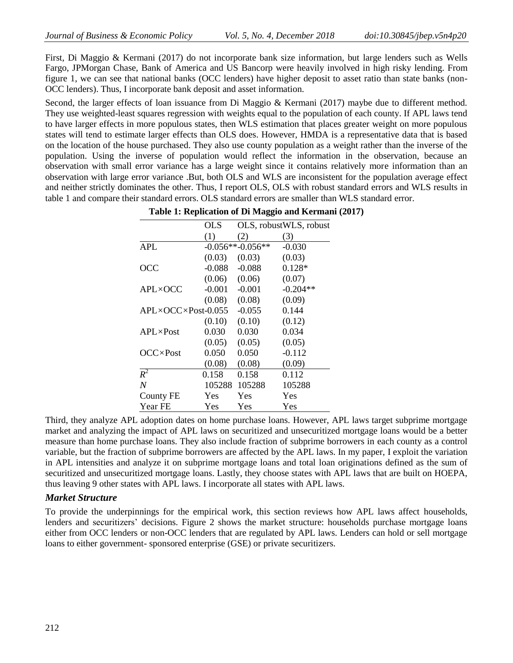First, Di Maggio & Kermani (2017) do not incorporate bank size information, but large lenders such as Wells Fargo, JPMorgan Chase, Bank of America and US Bancorp were heavily involved in high risky lending. From figure 1, we can see that national banks (OCC lenders) have higher deposit to asset ratio than state banks (non-OCC lenders). Thus, I incorporate bank deposit and asset information.

Second, the larger effects of loan issuance from Di Maggio & Kermani (2017) maybe due to different method. They use weighted-least squares regression with weights equal to the population of each county. If APL laws tend to have larger effects in more populous states, then WLS estimation that places greater weight on more populous states will tend to estimate larger effects than OLS does. However, HMDA is a representative data that is based on the location of the house purchased. They also use county population as a weight rather than the inverse of the population. Using the inverse of population would reflect the information in the observation, because an observation with small error variance has a large weight since it contains relatively more information than an observation with large error variance .But, both OLS and WLS are inconsistent for the population average effect and neither strictly dominates the other. Thus, I report OLS, OLS with robust standard errors and WLS results in table 1 and compare their standard errors. OLS standard errors are smaller than WLS standard error.

|                                    | OLS      |                    | OLS, robustWLS, robust |
|------------------------------------|----------|--------------------|------------------------|
|                                    | (1)      | 2)                 | (3)                    |
| APL                                |          | $-0.056**-0.056**$ | $-0.030$               |
|                                    | (0.03)   | (0.03)             | (0.03)                 |
| <b>OCC</b>                         | $-0.088$ | $-0.088$           | $0.128*$               |
|                                    | (0.06)   | (0.06)             | (0.07)                 |
| $APL \times OCC$                   | $-0.001$ | $-0.001$           | $-0.204**$             |
|                                    | (0.08)   | (0.08)             | (0.09)                 |
| $APL \times OCC \times Post-0.055$ |          | $-0.055$           | 0.144                  |
|                                    | (0.10)   | (0.10)             | (0.12)                 |
| $APL \times Post$                  | 0.030    | 0.030              | 0.034                  |
|                                    | (0.05)   | (0.05)             | (0.05)                 |
| $OCC \times Post$                  | 0.050    | 0.050              | $-0.112$               |
|                                    | (0.08)   | (0.08)             | (0.09)                 |
| $R^2$                              | 0.158    | 0.158              | 0.112                  |
| $\boldsymbol{N}$                   | 105288   | 105288             | 105288                 |
| County FE                          | Yes      | Yes                | Yes                    |
| Year FE                            | Yes      | Yes                | Yes                    |

**Table 1: Replication of Di Maggio and Kermani (2017)**

Third, they analyze APL adoption dates on home purchase loans. However, APL laws target subprime mortgage market and analyzing the impact of APL laws on securitized and unsecuritized mortgage loans would be a better measure than home purchase loans. They also include fraction of subprime borrowers in each county as a control variable, but the fraction of subprime borrowers are affected by the APL laws. In my paper, I exploit the variation in APL intensities and analyze it on subprime mortgage loans and total loan originations defined as the sum of securitized and unsecuritized mortgage loans. Lastly, they choose states with APL laws that are built on HOEPA, thus leaving 9 other states with APL laws. I incorporate all states with APL laws.

## *Market Structure*

To provide the underpinnings for the empirical work, this section reviews how APL laws affect households, lenders and securitizers' decisions. Figure 2 shows the market structure: households purchase mortgage loans either from OCC lenders or non-OCC lenders that are regulated by APL laws. Lenders can hold or sell mortgage loans to either government- sponsored enterprise (GSE) or private securitizers.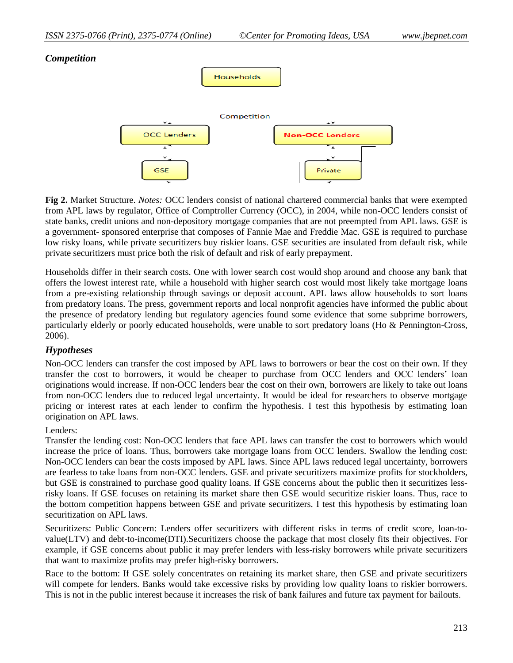# *Competition*



**Fig 2.** Market Structure. *Notes:* OCC lenders consist of national chartered commercial banks that were exempted from APL laws by regulator, Office of Comptroller Currency (OCC), in 2004, while non-OCC lenders consist of state banks, credit unions and non-depository mortgage companies that are not preempted from APL laws. GSE is a government- sponsored enterprise that composes of Fannie Mae and Freddie Mac. GSE is required to purchase low risky loans, while private securitizers buy riskier loans. GSE securities are insulated from default risk, while private securitizers must price both the risk of default and risk of early prepayment.

Households differ in their search costs. One with lower search cost would shop around and choose any bank that offers the lowest interest rate, while a household with higher search cost would most likely take mortgage loans from a pre-existing relationship through savings or deposit account. APL laws allow households to sort loans from predatory loans. The press, government reports and local nonprofit agencies have informed the public about the presence of predatory lending but regulatory agencies found some evidence that some subprime borrowers, particularly elderly or poorly educated households, were unable to sort predatory loans (Ho & Pennington-Cross, 2006).

# *Hypotheses*

Non-OCC lenders can transfer the cost imposed by APL laws to borrowers or bear the cost on their own. If they transfer the cost to borrowers, it would be cheaper to purchase from OCC lenders and OCC lenders' loan originations would increase. If non-OCC lenders bear the cost on their own, borrowers are likely to take out loans from non-OCC lenders due to reduced legal uncertainty. It would be ideal for researchers to observe mortgage pricing or interest rates at each lender to confirm the hypothesis. I test this hypothesis by estimating loan origination on APL laws.

### Lenders:

Transfer the lending cost: Non-OCC lenders that face APL laws can transfer the cost to borrowers which would increase the price of loans. Thus, borrowers take mortgage loans from OCC lenders. Swallow the lending cost: Non-OCC lenders can bear the costs imposed by APL laws. Since APL laws reduced legal uncertainty, borrowers are fearless to take loans from non-OCC lenders. GSE and private securitizers maximize profits for stockholders, but GSE is constrained to purchase good quality loans. If GSE concerns about the public then it securitizes lessrisky loans. If GSE focuses on retaining its market share then GSE would securitize riskier loans. Thus, race to the bottom competition happens between GSE and private securitizers. I test this hypothesis by estimating loan securitization on APL laws.

Securitizers: Public Concern: Lenders offer securitizers with different risks in terms of credit score, loan-tovalue(LTV) and debt-to-income(DTI).Securitizers choose the package that most closely fits their objectives. For example, if GSE concerns about public it may prefer lenders with less-risky borrowers while private securitizers that want to maximize profits may prefer high-risky borrowers.

Race to the bottom: If GSE solely concentrates on retaining its market share, then GSE and private securitizers will compete for lenders. Banks would take excessive risks by providing low quality loans to riskier borrowers. This is not in the public interest because it increases the risk of bank failures and future tax payment for bailouts.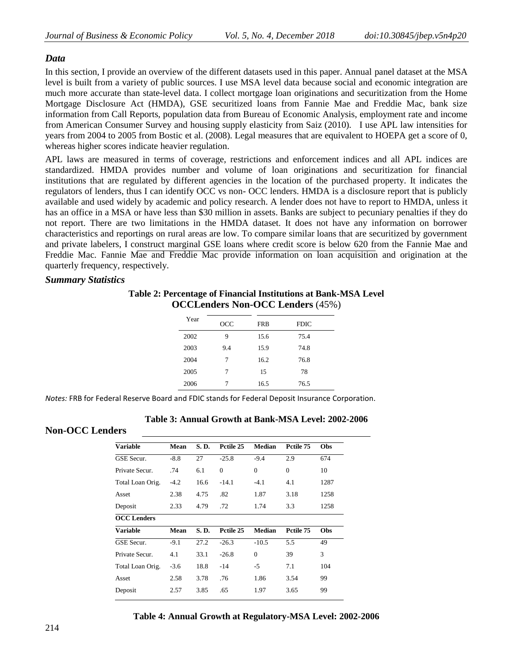# *Data*

In this section, I provide an overview of the different datasets used in this paper. Annual panel dataset at the MSA level is built from a variety of public sources. I use MSA level data because social and economic integration are much more accurate than state-level data. I collect mortgage loan originations and securitization from the Home Mortgage Disclosure Act (HMDA), GSE securitized loans from Fannie Mae and Freddie Mac, bank size information from Call Reports, population data from Bureau of Economic Analysis, employment rate and income from American Consumer Survey and housing supply elasticity from Saiz (2010). I use APL law intensities for years from 2004 to 2005 from Bostic et al. (2008). Legal measures that are equivalent to HOEPA get a score of 0, whereas higher scores indicate heavier regulation.

APL laws are measured in terms of coverage, restrictions and enforcement indices and all APL indices are standardized. HMDA provides number and volume of loan originations and securitization for financial institutions that are regulated by different agencies in the location of the purchased property. It indicates the regulators of lenders, thus I can identify OCC vs non- OCC lenders. HMDA is a disclosure report that is publicly available and used widely by academic and policy research. A lender does not have to report to HMDA, unless it has an office in a MSA or have less than \$30 million in assets. Banks are subject to pecuniary penalties if they do not report. There are two limitations in the HMDA dataset. It does not have any information on borrower characteristics and reportings on rural areas are low. To compare similar loans that are securitized by government and private labelers, I construct marginal GSE loans where credit score is below 620 from the Fannie Mae and Freddie Mac. Fannie Mae and Freddie Mac provide information on loan acquisition and origination at the quarterly frequency, respectively.

# *Summary Statistics*

# **Table 2: Percentage of Financial Institutions at Bank-MSA Level OCCLenders Non-OCC Lenders** (45%)

| Year | OCC | <b>FRB</b> | <b>FDIC</b> |
|------|-----|------------|-------------|
| 2002 | 9   | 15.6       | 75.4        |
| 2003 | 9.4 | 15.9       | 74.8        |
| 2004 | 7   | 16.2       | 76.8        |
| 2005 | 7   | 15         | 78          |
| 2006 | 7   | 16.5       | 76.5        |
|      |     |            |             |

*Notes:* FRB for Federal Reserve Board and FDIC stands for Federal Deposit Insurance Corporation.

| Table 3: Annual Growth at Bank-MSA Level: 2002-2006 |
|-----------------------------------------------------|
|                                                     |

### **Non-OCC Lenders**

| <b>Variable</b>    | Mean   | S.D. | Petile 25    | Median        | Pctile 75 | Obs  |
|--------------------|--------|------|--------------|---------------|-----------|------|
| <b>GSE</b> Secur.  | $-8.8$ | 27   | $-25.8$      | $-9.4$        | 2.9       | 674  |
| Private Secur.     | .74    | 6.1  | $\mathbf{0}$ | $\mathbf{0}$  | $\theta$  | 10   |
| Total Loan Orig.   | $-4.2$ | 16.6 | $-14.1$      | $-4.1$        | 4.1       | 1287 |
| Asset              | 2.38   | 4.75 | .82          | 1.87          | 3.18      | 1258 |
| Deposit            | 2.33   | 4.79 | .72          | 1.74          | 3.3       | 1258 |
| <b>OCC</b> Lenders |        |      |              |               |           |      |
| <b>Variable</b>    | Mean   | S.D. | Pctile 25    | <b>Median</b> | Pctile 75 | Obs  |
| GSE Secur.         | $-9.1$ | 27.2 | $-26.3$      | $-10.5$       | 5.5       | 49   |
| Private Secur.     | 4.1    | 33.1 | $-26.8$      | $\theta$      | 39        | 3    |
| Total Loan Orig.   | $-3.6$ | 18.8 | $-14$        | -5            | 7.1       | 104  |
| Asset              | 2.58   | 3.78 | .76          | 1.86          | 3.54      | 99   |
| Deposit            | 2.57   | 3.85 | .65          | 1.97          | 3.65      | 99   |
|                    |        |      |              |               |           |      |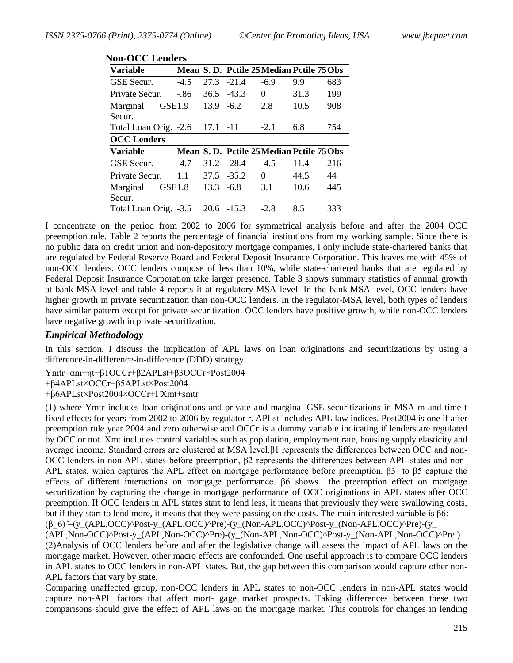| Variable                       |                    |              |               | Mean S.D. Pctile 25 Median Pctile 75 Obs |      |     |
|--------------------------------|--------------------|--------------|---------------|------------------------------------------|------|-----|
| GSE Secur.                     | $-4.5$             |              | $27.3 - 21.4$ | $-6.9$                                   | 9.9  | 683 |
| Private Secur.                 | -.86               |              | $36.5 - 43.3$ | $\Omega$                                 | 31.3 | 199 |
| Marginal<br>Secur.             | GSE1.9             | $13.9 - 6.2$ |               | 2.8                                      | 10.5 | 908 |
| Total Loan Orig. -2.6 17.1 -11 |                    |              |               | $-2.1$                                   | 6.8  | 754 |
| <b>OCC</b> Lenders             |                    |              |               |                                          |      |     |
| Variable                       |                    |              |               | Mean S.D. Pctile 25 Median Pctile 75 Obs |      |     |
| GSE Secur.                     | $-4.7$             |              | $31.2 -28.4$  | $-4.5$                                   | 11.4 | 216 |
| Private Secur.                 | 1.1                |              | $37.5 - 35.2$ | $\Omega$                                 | 44.5 | 44  |
| Marginal<br>Secur.             | GSE <sub>1.8</sub> |              | $13.3 - 6.8$  | 3.1                                      | 10.6 | 445 |
|                                |                    |              |               |                                          |      |     |

I concentrate on the period from 2002 to 2006 for symmetrical analysis before and after the 2004 OCC preemption rule. Table 2 reports the percentage of financial institutions from my working sample. Since there is no public data on credit union and non-depository mortgage companies, I only include state-chartered banks that are regulated by Federal Reserve Board and Federal Deposit Insurance Corporation. This leaves me with 45% of non-OCC lenders. OCC lenders compose of less than 10%, while state-chartered banks that are regulated by Federal Deposit Insurance Corporation take larger presence. Table 3 shows summary statistics of annual growth at bank-MSA level and table 4 reports it at regulatory-MSA level. In the bank-MSA level, OCC lenders have higher growth in private securitization than non-OCC lenders. In the regulator-MSA level, both types of lenders have similar pattern except for private securitization. OCC lenders have positive growth, while non-OCC lenders have negative growth in private securitization.

# *Empirical Methodology*

In this section, I discuss the implication of APL laws on loan originations and securitizations by using a difference-in-difference-in-difference (DDD) strategy.

Ymtr=αm+ηt+β1OCCr+β2APLst+β3OCCr×Post2004

+β4APLst×OCCr+β5APLst×Post2004

+β6APLst×Post2004×OCCr+ΓXmt+smtr

(1) where Ymtr includes loan originations and private and marginal GSE securitizations in MSA m and time t fixed effects for years from 2002 to 2006 by regulator r. APLst includes APL law indices. Post2004 is one if after preemption rule year 2004 and zero otherwise and OCCr is a dummy variable indicating if lenders are regulated by OCC or not. Xmt includes control variables such as population, employment rate, housing supply elasticity and average income. Standard errors are clustered at MSA level.β1 represents the differences between OCC and non-OCC lenders in non-APL states before preemption, β2 represents the differences between APL states and non-APL states, which captures the APL effect on mortgage performance before preemption. β3 to β5 capture the effects of different interactions on mortgage performance. β6 shows the preemption effect on mortgage securitization by capturing the change in mortgage performance of OCC originations in APL states after OCC preemption. If OCC lenders in APL states start to lend less, it means that previously they were swallowing costs, but if they start to lend more, it means that they were passing on the costs. The main interested variable is β6:

 $(β 6)$ <sup> $=$ </sup>(y\_(APL,OCC)^Post-y\_(APL,OCC)^Pre)-(y\_(Non-APL,OCC)^Post-y\_(Non-APL,OCC)^Pre)-(y\_

(APL,Non-OCC)^Post-y\_(APL,Non-OCC)^Pre)-(y\_(Non-APL,Non-OCC)^Post-y\_(Non-APL,Non-OCC)^Pre ) (2)Analysis of OCC lenders before and after the legislative change will assess the impact of APL laws on the mortgage market. However, other macro effects are confounded. One useful approach is to compare OCC lenders in APL states to OCC lenders in non-APL states. But, the gap between this comparison would capture other non-APL factors that vary by state.

Comparing unaffected group, non-OCC lenders in APL states to non-OCC lenders in non-APL states would capture non-APL factors that affect mort- gage market prospects. Taking differences between these two comparisons should give the effect of APL laws on the mortgage market. This controls for changes in lending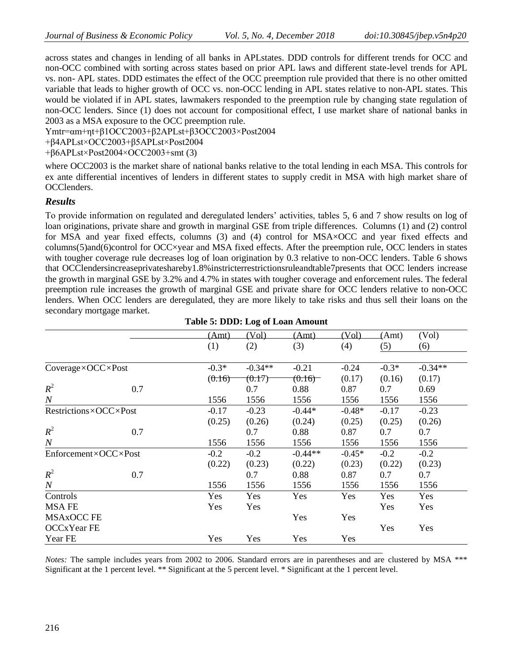across states and changes in lending of all banks in APLstates. DDD controls for different trends for OCC and non-OCC combined with sorting across states based on prior APL laws and different state-level trends for APL vs. non- APL states. DDD estimates the effect of the OCC preemption rule provided that there is no other omitted variable that leads to higher growth of OCC vs. non-OCC lending in APL states relative to non-APL states. This would be violated if in APL states, lawmakers responded to the preemption rule by changing state regulation of non-OCC lenders. Since (1) does not account for compositional effect, I use market share of national banks in 2003 as a MSA exposure to the OCC preemption rule.

Ymtr=αm+ηt+β1OCC2003+β2APLst+β3OCC2003×Post2004

+β4APLst×OCC2003+β5APLst×Post2004

 $+\beta$ 6APLst×Post2004×OCC2003+smt (3)

where OCC2003 is the market share of national banks relative to the total lending in each MSA. This controls for ex ante differential incentives of lenders in different states to supply credit in MSA with high market share of OCClenders.

# *Results*

To provide information on regulated and deregulated lenders' activities, tables 5, 6 and 7 show results on log of loan originations, private share and growth in marginal GSE from triple differences. Columns (1) and (2) control for MSA and year fixed effects, columns (3) and (4) control for MSA×OCC and year fixed effects and columns(5)and(6)control for OCC×year and MSA fixed effects. After the preemption rule, OCC lenders in states with tougher coverage rule decreases log of loan origination by 0.3 relative to non-OCC lenders. Table 6 shows that OCClendersincreaseprivateshareby1.8%instricterrestrictionsruleandtable7presents that OCC lenders increase the growth in marginal GSE by 3.2% and 4.7% in states with tougher coverage and enforcement rules. The federal preemption rule increases the growth of marginal GSE and private share for OCC lenders relative to non-OCC lenders. When OCC lenders are deregulated, they are more likely to take risks and thus sell their loans on the secondary mortgage market.

|                       |     |         | o         |           |          |         |           |
|-----------------------|-----|---------|-----------|-----------|----------|---------|-----------|
|                       |     | (Amt)   | (Vol)     | (Amt)     | (Vol)    | (Amt)   | (Vol)     |
|                       |     | (1)     | (2)       | (3)       | (4)      | (5)     | (6)       |
|                       |     |         |           |           |          |         |           |
| Coverage×OCC×Post     |     | $-0.3*$ | $-0.34**$ | $-0.21$   | $-0.24$  | $-0.3*$ | $-0.34**$ |
|                       |     | (0.16)  | (0.17)    | (0.16)    | (0.17)   | (0.16)  | (0.17)    |
| $R^2$                 | 0.7 |         | 0.7       | 0.88      | 0.87     | 0.7     | 0.69      |
| $\cal N$              |     | 1556    | 1556      | 1556      | 1556     | 1556    | 1556      |
| Restrictions×OCC×Post |     | $-0.17$ | $-0.23$   | $-0.44*$  | $-0.48*$ | $-0.17$ | $-0.23$   |
|                       |     | (0.25)  | (0.26)    | (0.24)    | (0.25)   | (0.25)  | (0.26)    |
| $R^2$                 | 0.7 |         | 0.7       | 0.88      | 0.87     | 0.7     | 0.7       |
| $\boldsymbol{N}$      |     | 1556    | 1556      | 1556      | 1556     | 1556    | 1556      |
| Enforcement×OCC×Post  |     | $-0.2$  | $-0.2$    | $-0.44**$ | $-0.45*$ | $-0.2$  | $-0.2$    |
|                       |     | (0.22)  | (0.23)    | (0.22)    | (0.23)   | (0.22)  | (0.23)    |
| $R^2$                 | 0.7 |         | 0.7       | 0.88      | 0.87     | 0.7     | 0.7       |
| $\boldsymbol{N}$      |     | 1556    | 1556      | 1556      | 1556     | 1556    | 1556      |
| Controls              |     | Yes     | Yes       | Yes       | Yes      | Yes     | Yes       |
| <b>MSAFE</b>          |     | Yes     | Yes       |           |          | Yes     | Yes       |
| MSAxOCC FE            |     |         |           | Yes       | Yes      |         |           |
| OCCxYear FE           |     |         |           |           |          | Yes     | Yes       |
| Year FE               |     | Yes     | Yes       | Yes       | Yes      |         |           |
|                       |     |         |           |           |          |         |           |

|  |  |  |  | <b>Table 5: DDD: Log of Loan Amount</b> |
|--|--|--|--|-----------------------------------------|
|--|--|--|--|-----------------------------------------|

*Notes:* The sample includes years from 2002 to 2006. Standard errors are in parentheses and are clustered by MSA \*\*\* Significant at the 1 percent level. \*\* Significant at the 5 percent level. \* Significant at the 1 percent level.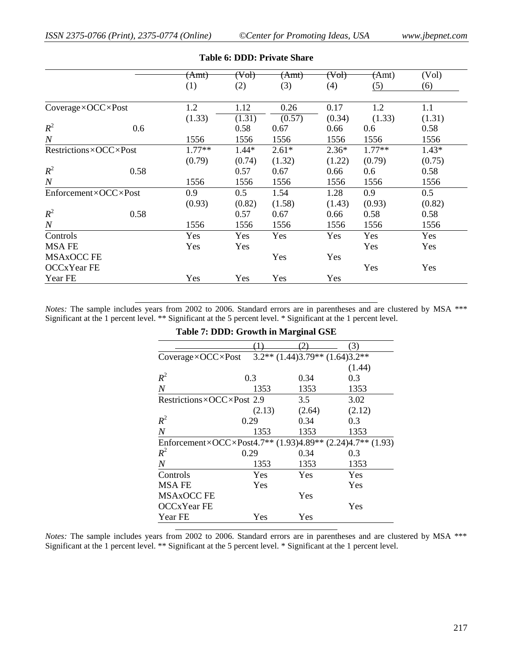|                       |      | (Amt)    | (Vob)   | (Amt)   | (Vob)   | (Amt)    | (Vol)   |
|-----------------------|------|----------|---------|---------|---------|----------|---------|
|                       |      | (1)      | (2)     | (3)     | (4)     | (5)      | (6)     |
|                       |      |          |         |         |         |          |         |
| Coverage×OCC×Post     |      | 1.2      | 1.12    | 0.26    | 0.17    | 1.2      | 1.1     |
|                       |      | (1.33)   | (1.31)  | (0.57)  | (0.34)  | (1.33)   | (1.31)  |
| $R^2$                 | 0.6  |          | 0.58    | 0.67    | 0.66    | 0.6      | 0.58    |
| $\boldsymbol{N}$      |      | 1556     | 1556    | 1556    | 1556    | 1556     | 1556    |
| Restrictions×OCC×Post |      | $1.77**$ | $1.44*$ | $2.61*$ | $2.36*$ | $1.77**$ | $1.43*$ |
|                       |      | (0.79)   | (0.74)  | (1.32)  | (1.22)  | (0.79)   | (0.75)  |
| $R^2$                 | 0.58 |          | 0.57    | 0.67    | 0.66    | 0.6      | 0.58    |
| $\boldsymbol{N}$      |      | 1556     | 1556    | 1556    | 1556    | 1556     | 1556    |
| Enforcement×OCC×Post  |      | 0.9      | 0.5     | 1.54    | 1.28    | 0.9      | 0.5     |
|                       |      | (0.93)   | (0.82)  | (1.58)  | (1.43)  | (0.93)   | (0.82)  |
| $R^2$                 | 0.58 |          | 0.57    | 0.67    | 0.66    | 0.58     | 0.58    |
| $\cal N$              |      | 1556     | 1556    | 1556    | 1556    | 1556     | 1556    |
| Controls              |      | Yes      | Yes     | Yes     | Yes     | Yes      | Yes     |
| MSA FE                |      | Yes      | Yes     |         |         | Yes      | Yes     |
| <b>MSAxOCC FE</b>     |      |          |         | Yes     | Yes     |          |         |
| OCCxYear FE           |      |          |         |         |         | Yes      | Yes     |
| Year FE               |      | Yes      | Yes     | Yes     | Yes     |          |         |

#### **Table 6: DDD: Private Share**

*Notes:* The sample includes years from 2002 to 2006. Standard errors are in parentheses and are clustered by MSA \*\*\* Significant at the 1 percent level. \*\* Significant at the 5 percent level. \* Significant at the 1 percent level.

#### **Table 7: DDD: Growth in Marginal GSE**

|                                                                                               |        |                                        | 3)     |
|-----------------------------------------------------------------------------------------------|--------|----------------------------------------|--------|
| $Coverage \times OCC \times Post$                                                             |        | $3.2**$ (1.44) $3.79**$ (1.64) $3.2**$ |        |
|                                                                                               |        |                                        | (1.44) |
| $R^2$                                                                                         | 0.3    | 0.34                                   | 0.3    |
| $\overline{N}$                                                                                | 1353   | 1353                                   | 1353   |
| Restrictions×OCC×Post 2.9                                                                     |        | 3.5                                    | 3.02   |
|                                                                                               | (2.13) | (2.64)                                 | (2.12) |
| $R^2$                                                                                         | 0.29   | 0.34                                   | 0.3    |
| $\overline{N}$                                                                                | 1353   | 1353                                   | 1353   |
| Enforcement×OCC×Post4.7 <sup>**</sup> (1.93)4.89 <sup>**</sup> (2.24)4.7 <sup>**</sup> (1.93) |        |                                        |        |
| $R^2$                                                                                         | 0.29   | 0.34                                   | 0.3    |
| $\boldsymbol{N}$                                                                              | 1353   | 1353                                   | 1353   |
| Controls                                                                                      | Yes    | Yes                                    | Yes    |
| <b>MSAFE</b>                                                                                  | Yes    |                                        | Yes    |
| MSAxOCC FE                                                                                    |        | Yes                                    |        |
| OCCxYear FE                                                                                   |        |                                        | Yes    |
| Year FE                                                                                       | Yes    | Yes                                    |        |

*Notes:* The sample includes years from 2002 to 2006. Standard errors are in parentheses and are clustered by MSA \*\*\* Significant at the 1 percent level. \*\* Significant at the 5 percent level. \* Significant at the 1 percent level.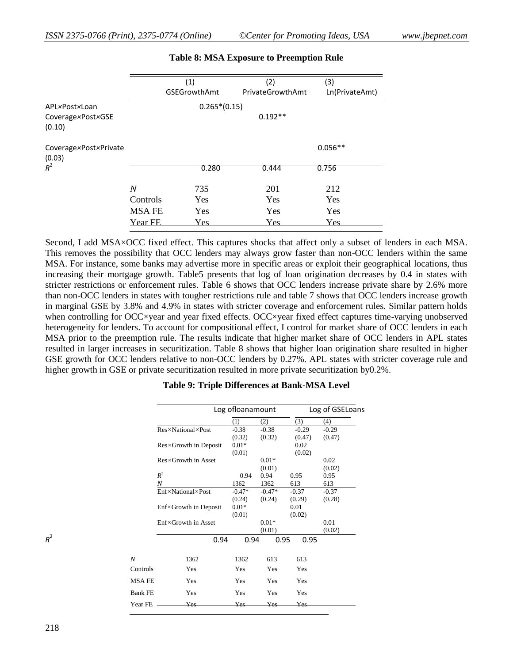|                                 | (1)          |                     | (2)              | (3)            |
|---------------------------------|--------------|---------------------|------------------|----------------|
|                                 |              | <b>GSEGrowthAmt</b> | PrivateGrowthAmt | Ln(PrivateAmt) |
| APL×Post×Loan                   |              | $0.265*(0.15)$      |                  |                |
| Coverage×Post×GSE<br>(0.10)     |              |                     | $0.192**$        |                |
| Coverage×Post×Private<br>(0.03) |              |                     |                  | $0.056**$      |
| $R^2$                           |              | 0.280               | 0.444            | 0.756          |
|                                 | N            | 735                 | 201              | 212            |
|                                 | Controls     | Yes                 | Yes              | Yes            |
|                                 | <b>MSAFE</b> | <b>Yes</b>          | Yes              | Yes            |
|                                 | Year FE      | Yes                 | Yes              | Yes            |

## **Table 8: MSA Exposure to Preemption Rule**

Second, I add MSA×OCC fixed effect. This captures shocks that affect only a subset of lenders in each MSA. This removes the possibility that OCC lenders may always grow faster than non-OCC lenders within the same MSA. For instance, some banks may advertise more in specific areas or exploit their geographical locations, thus increasing their mortgage growth. Table5 presents that log of loan origination decreases by 0.4 in states with stricter restrictions or enforcement rules. Table 6 shows that OCC lenders increase private share by 2.6% more than non-OCC lenders in states with tougher restrictions rule and table 7 shows that OCC lenders increase growth in marginal GSE by 3.8% and 4.9% in states with stricter coverage and enforcement rules. Similar pattern holds when controlling for OCC×year and year fixed effects. OCC×year fixed effect captures time-varying unobserved heterogeneity for lenders. To account for compositional effect, I control for market share of OCC lenders in each MSA prior to the preemption rule. The results indicate that higher market share of OCC lenders in APL states resulted in larger increases in securitization. Table 8 shows that higher loan origination share resulted in higher GSE growth for OCC lenders relative to non-OCC lenders by 0.27%. APL states with stricter coverage rule and higher growth in GSE or private securitization resulted in more private securitization by0.2%.

|                  | Log of loanamount              |          |          | Log of GSELoans |         |  |
|------------------|--------------------------------|----------|----------|-----------------|---------|--|
|                  |                                | (1)      | (2)      | (3)             | (4)     |  |
|                  | Res×National×Post              | $-0.38$  | $-0.38$  | $-0.29$         | $-0.29$ |  |
|                  |                                | (0.32)   | (0.32)   | (0.47)          | (0.47)  |  |
|                  | $Res \times Growth$ in Deposit | $0.01*$  |          | 0.02            |         |  |
|                  |                                | (0.01)   |          | (0.02)          |         |  |
|                  | Res×Growth in Asset            |          | $0.01*$  |                 | 0.02    |  |
|                  |                                |          | (0.01)   |                 | (0.02)  |  |
|                  | $R^2$                          | 0.94     | 0.94     | 0.95            | 0.95    |  |
|                  | N                              | 1362     | 1362     | 613             | 613     |  |
|                  | Enf×National×Post              | $-0.47*$ | $-0.47*$ | $-0.37$         | $-0.37$ |  |
|                  |                                | (0.24)   | (0.24)   | (0.29)          | (0.28)  |  |
|                  | $Enf \times Growth$ in Deposit | $0.01*$  |          | 0.01            |         |  |
|                  |                                | (0.01)   |          | (0.02)          |         |  |
|                  | Enf×Growth in Asset            |          | $0.01*$  |                 | 0.01    |  |
|                  |                                |          | (0.01)   |                 | (0.02)  |  |
| $R^2$            | 0.94                           | 0.94     | 0.95     | 0.95            |         |  |
| $\boldsymbol{N}$ | 1362                           | 1362     | 613      | 613             |         |  |
| Controls         | Yes                            | Yes      | Yes      | Yes             |         |  |
| <b>MSAFE</b>     | Yes                            | Yes      | Yes      | Yes             |         |  |
| <b>Bank FE</b>   | Yes                            | Yes      | Yes      | Yes             |         |  |
| Year FE          | Yes                            | Yes-     | Yes      | Yes             |         |  |

#### **Table 9: Triple Differences at Bank-MSA Level**

*R* 2